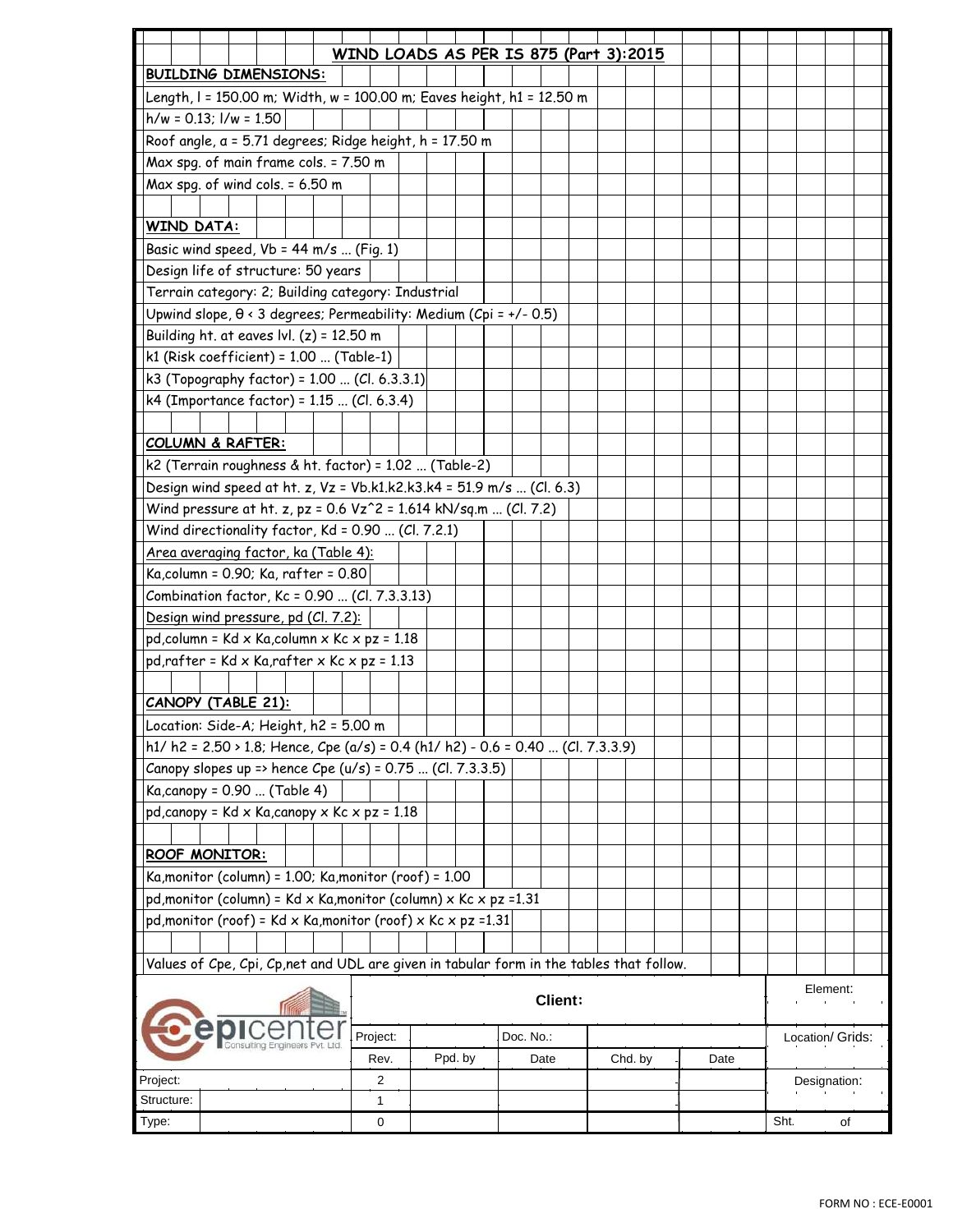|                                                                                          |  |  |  | WIND LOADS AS PER IS 875 (Part 3):2015 |  |  |         |  |           |      |  |  |         |  |      |  |                  |              |    |  |  |
|------------------------------------------------------------------------------------------|--|--|--|----------------------------------------|--|--|---------|--|-----------|------|--|--|---------|--|------|--|------------------|--------------|----|--|--|
| <b>BUILDING DIMENSIONS:</b>                                                              |  |  |  |                                        |  |  |         |  |           |      |  |  |         |  |      |  |                  |              |    |  |  |
| Length, I = 150.00 m; Width, w = 100.00 m; Eaves height, h1 = 12.50 m                    |  |  |  |                                        |  |  |         |  |           |      |  |  |         |  |      |  |                  |              |    |  |  |
| $h/w = 0.13$ ; $l/w = 1.50$                                                              |  |  |  |                                        |  |  |         |  |           |      |  |  |         |  |      |  |                  |              |    |  |  |
| Roof angle, a = 5.71 degrees; Ridge height, h = 17.50 m                                  |  |  |  |                                        |  |  |         |  |           |      |  |  |         |  |      |  |                  |              |    |  |  |
| Max spg. of main frame cols. = 7.50 m                                                    |  |  |  |                                        |  |  |         |  |           |      |  |  |         |  |      |  |                  |              |    |  |  |
| Max spg. of wind cols. = 6.50 m                                                          |  |  |  |                                        |  |  |         |  |           |      |  |  |         |  |      |  |                  |              |    |  |  |
|                                                                                          |  |  |  |                                        |  |  |         |  |           |      |  |  |         |  |      |  |                  |              |    |  |  |
| <b>WIND DATA:</b>                                                                        |  |  |  |                                        |  |  |         |  |           |      |  |  |         |  |      |  |                  |              |    |  |  |
| Basic wind speed, $Vb = 44$ m/s  (Fig. 1)                                                |  |  |  |                                        |  |  |         |  |           |      |  |  |         |  |      |  |                  |              |    |  |  |
| Design life of structure: 50 years                                                       |  |  |  |                                        |  |  |         |  |           |      |  |  |         |  |      |  |                  |              |    |  |  |
| Terrain category: 2; Building category: Industrial                                       |  |  |  |                                        |  |  |         |  |           |      |  |  |         |  |      |  |                  |              |    |  |  |
| Upwind slope, $\theta$ < 3 degrees; Permeability: Medium (Cpi = +/- 0.5)                 |  |  |  |                                        |  |  |         |  |           |      |  |  |         |  |      |  |                  |              |    |  |  |
| Building ht. at eaves $ v $ . (z) = 12.50 m                                              |  |  |  |                                        |  |  |         |  |           |      |  |  |         |  |      |  |                  |              |    |  |  |
| $k1$ (Risk coefficient) = 1.00  (Table-1)                                                |  |  |  |                                        |  |  |         |  |           |      |  |  |         |  |      |  |                  |              |    |  |  |
| k3 (Topography factor) = 1.00  (Cl. 6.3.3.1)                                             |  |  |  |                                        |  |  |         |  |           |      |  |  |         |  |      |  |                  |              |    |  |  |
| k4 (Importance factor) = 1.15  (Cl. 6.3.4)                                               |  |  |  |                                        |  |  |         |  |           |      |  |  |         |  |      |  |                  |              |    |  |  |
|                                                                                          |  |  |  |                                        |  |  |         |  |           |      |  |  |         |  |      |  |                  |              |    |  |  |
| <b>COLUMN &amp; RAFTER:</b>                                                              |  |  |  |                                        |  |  |         |  |           |      |  |  |         |  |      |  |                  |              |    |  |  |
| k2 (Terrain roughness & ht. factor) = 1.02  (Table-2)                                    |  |  |  |                                        |  |  |         |  |           |      |  |  |         |  |      |  |                  |              |    |  |  |
| Design wind speed at ht. z, Vz = Vb.k1.k2.k3.k4 = 51.9 m/s  (Cl. 6.3)                    |  |  |  |                                        |  |  |         |  |           |      |  |  |         |  |      |  |                  |              |    |  |  |
| Wind pressure at ht. z, pz = 0.6 Vz^2 = 1.614 kN/sq.m  (Cl. 7.2)                         |  |  |  |                                        |  |  |         |  |           |      |  |  |         |  |      |  |                  |              |    |  |  |
| Wind directionality factor, Kd = 0.90  (Cl. 7.2.1)                                       |  |  |  |                                        |  |  |         |  |           |      |  |  |         |  |      |  |                  |              |    |  |  |
| Area averaging factor, ka (Table 4):                                                     |  |  |  |                                        |  |  |         |  |           |      |  |  |         |  |      |  |                  |              |    |  |  |
| Ka, column = 0.90; Ka, rafter = 0.80                                                     |  |  |  |                                        |  |  |         |  |           |      |  |  |         |  |      |  |                  |              |    |  |  |
| Combination factor, Kc = 0.90  (Cl. 7.3.3.13)                                            |  |  |  |                                        |  |  |         |  |           |      |  |  |         |  |      |  |                  |              |    |  |  |
| Design wind pressure, pd (Cl. 7.2):                                                      |  |  |  |                                        |  |  |         |  |           |      |  |  |         |  |      |  |                  |              |    |  |  |
| pd, column = Kd x Ka, column x Kc x pz = 1.18                                            |  |  |  |                                        |  |  |         |  |           |      |  |  |         |  |      |  |                  |              |    |  |  |
| $pd, rafter = Kd \times Ka, rafter \times Kc \times pz = 1.13$                           |  |  |  |                                        |  |  |         |  |           |      |  |  |         |  |      |  |                  |              |    |  |  |
|                                                                                          |  |  |  |                                        |  |  |         |  |           |      |  |  |         |  |      |  |                  |              |    |  |  |
| <b>CANOPY (TABLE 21):</b>                                                                |  |  |  |                                        |  |  |         |  |           |      |  |  |         |  |      |  |                  |              |    |  |  |
| Location: Side-A; Height, h2 = 5.00 m                                                    |  |  |  |                                        |  |  |         |  |           |      |  |  |         |  |      |  |                  |              |    |  |  |
| h1/ h2 = $2.50 \times 1.8$ ; Hence, Cpe (a/s) = 0.4 (h1/ h2) - 0.6 = 0.40  (Cl. 7.3.3.9) |  |  |  |                                        |  |  |         |  |           |      |  |  |         |  |      |  |                  |              |    |  |  |
| Canopy slopes up => hence Cpe (u/s) = 0.75  (Cl. 7.3.3.5)                                |  |  |  |                                        |  |  |         |  |           |      |  |  |         |  |      |  |                  |              |    |  |  |
| Ka, canopy = 0.90  (Table 4)                                                             |  |  |  |                                        |  |  |         |  |           |      |  |  |         |  |      |  |                  |              |    |  |  |
| $pd, canopy = Kd \times Ka, canopy \times Kc \times pz = 1.18$                           |  |  |  |                                        |  |  |         |  |           |      |  |  |         |  |      |  |                  |              |    |  |  |
|                                                                                          |  |  |  |                                        |  |  |         |  |           |      |  |  |         |  |      |  |                  |              |    |  |  |
| ROOF MONITOR:                                                                            |  |  |  |                                        |  |  |         |  |           |      |  |  |         |  |      |  |                  |              |    |  |  |
| Ka, monitor (column) = 1.00; Ka, monitor (roof) = 1.00                                   |  |  |  |                                        |  |  |         |  |           |      |  |  |         |  |      |  |                  |              |    |  |  |
| pd, monitor (column) = $Kd \times Ka$ , monitor (column) $\times Kc \times pz = 1.31$    |  |  |  |                                        |  |  |         |  |           |      |  |  |         |  |      |  |                  |              |    |  |  |
| pd, monitor (roof) = Kd x Ka, monitor (roof) x Kc x pz =1.31                             |  |  |  |                                        |  |  |         |  |           |      |  |  |         |  |      |  |                  |              |    |  |  |
|                                                                                          |  |  |  |                                        |  |  |         |  |           |      |  |  |         |  |      |  |                  |              |    |  |  |
| Values of Cpe, Cpi, Cp, net and UDL are given in tabular form in the tables that follow. |  |  |  |                                        |  |  |         |  |           |      |  |  |         |  |      |  |                  |              |    |  |  |
|                                                                                          |  |  |  |                                        |  |  |         |  |           |      |  |  |         |  |      |  |                  |              |    |  |  |
| Element:<br><b>Client:</b>                                                               |  |  |  |                                        |  |  |         |  |           |      |  |  |         |  |      |  |                  |              |    |  |  |
|                                                                                          |  |  |  |                                        |  |  |         |  |           |      |  |  |         |  |      |  |                  |              |    |  |  |
|                                                                                          |  |  |  | Project:                               |  |  |         |  | Doc. No.: |      |  |  |         |  |      |  | Location/ Grids: |              |    |  |  |
|                                                                                          |  |  |  | Rev.                                   |  |  | Ppd. by |  |           | Date |  |  | Chd. by |  | Date |  |                  |              |    |  |  |
| Project:                                                                                 |  |  |  | 2                                      |  |  |         |  |           |      |  |  |         |  |      |  |                  | Designation: |    |  |  |
| Structure:                                                                               |  |  |  | 1                                      |  |  |         |  |           |      |  |  |         |  |      |  |                  |              |    |  |  |
| Type:                                                                                    |  |  |  | 0                                      |  |  |         |  |           |      |  |  |         |  |      |  | Sht.             |              | of |  |  |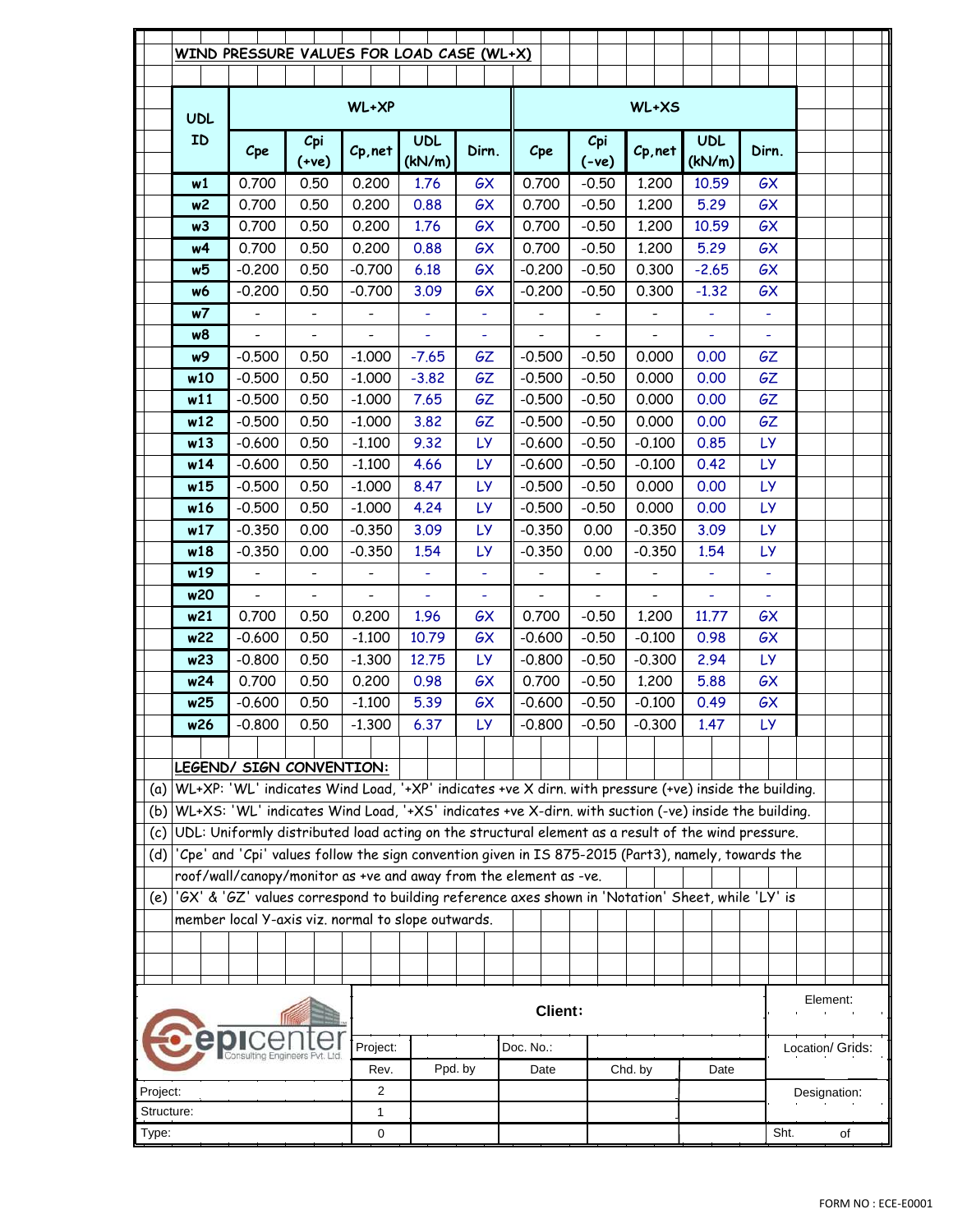|                       |                | WIND PRESSURE VALUES FOR LOAD CASE (WL+X)                                                             |                          |                              |              |                  |                              |         |                              |                              |                  |                  |      |              |  |
|-----------------------|----------------|-------------------------------------------------------------------------------------------------------|--------------------------|------------------------------|--------------|------------------|------------------------------|---------|------------------------------|------------------------------|------------------|------------------|------|--------------|--|
|                       |                |                                                                                                       |                          |                              |              |                  |                              |         |                              |                              |                  |                  |      |              |  |
|                       | <b>UDL</b>     |                                                                                                       |                          | WL+XP                        |              |                  |                              |         |                              | WL+XS                        |                  |                  |      |              |  |
|                       | ID             |                                                                                                       | Cpi                      |                              | <b>UDL</b>   |                  |                              |         | Cpi                          |                              | <b>UDL</b>       |                  |      |              |  |
|                       |                | Cpe                                                                                                   | $(+ve)$                  | Cp, net                      | (kN/m)       | Dirn.            | Cpe                          |         | $(-ve)$                      | Cp, net                      | (kN/m)           | Dirn.            |      |              |  |
|                       | w1             | 0.700                                                                                                 | 0.50                     | 0.200                        | 1.76         | GX               | 0.700                        |         | $-0.50$                      | 1.200                        | 10.59            | GX               |      |              |  |
|                       | w2             | 0.700                                                                                                 | 0.50                     | 0.200                        | 0.88         | GX               | 0.700                        |         | $-0.50$                      | 1,200                        | 5.29             | GX               |      |              |  |
|                       | w3             | 0.700                                                                                                 | 0.50                     | 0.200                        | 1.76         | GX               | 0.700                        |         | $-0.50$                      | 1,200                        | 10.59            | GX               |      |              |  |
|                       | w4             | 0.700                                                                                                 | 0.50                     | 0.200                        | 0.88         | GX               | 0.700                        |         | $-0.50$                      | 1.200                        | 5.29             | GX               |      |              |  |
|                       | w5             | $-0.200$                                                                                              | 0.50                     | $-0.700$                     | 6.18         | GX               | $-0.200$                     |         | $-0.50$                      | 0.300                        | $-2.65$          | GX               |      |              |  |
|                       | w6             | $-0.200$                                                                                              | 0.50                     | $-0.700$                     | 3.09         | GX               | $-0.200$                     |         | $-0.50$                      | 0.300                        | $-1.32$          | GX               |      |              |  |
|                       | w7             | $\qquad \qquad \blacksquare$                                                                          |                          |                              | ÷,           |                  |                              |         |                              |                              | ÷,               | $\blacksquare$   |      |              |  |
|                       | w8             |                                                                                                       |                          |                              | L,           |                  |                              |         |                              |                              | L,               |                  |      |              |  |
|                       | w9             | $-0.500$                                                                                              | 0.50                     | $-1.000$                     | $-7.65$      | GΖ               | $-0.500$                     |         | $-0.50$                      | 0.000                        | 0.00             | GΖ               |      |              |  |
|                       | w10            | $-0.500$                                                                                              | 0.50                     | $-1.000$                     | $-3.82$      | <b>GZ</b>        | $-0.500$                     |         | $-0.50$                      | 0.000                        | 0.00             | <b>GZ</b>        |      |              |  |
|                       | w11            | $-0.500$                                                                                              | 0.50                     | $-1.000$                     | 7.65         | <b>GZ</b>        | $-0.500$                     |         | $-0.50$                      | 0.000                        | 0.00             | <b>GZ</b>        |      |              |  |
|                       | w12            | $-0.500$                                                                                              | 0.50                     | $-1.000$                     | 3.82         | GΖ               | $-0.500$                     |         | $-0.50$                      | 0.000                        | 0.00             | <b>GZ</b>        |      |              |  |
|                       | w13            | $-0.600$                                                                                              | 0.50                     | $-1.100$                     | 9.32         | <b>LY</b>        | $-0.600$                     |         | $-0.50$                      | $-0.100$                     | 0.85             | LY.              |      |              |  |
|                       | w14            | $-0.600$                                                                                              | 0.50                     | $-1.100$                     | 4.66         | <b>LY</b>        | $-0.600$                     |         | $-0.50$                      | $-0.100$                     | 0.42             | LY.              |      |              |  |
|                       | w15            | $-0.500$                                                                                              | 0.50                     | $-1.000$                     | 8.47         | <b>LY</b>        | $-0.500$                     |         | $-0.50$                      | 0.000                        | 0.00             | <b>LY</b>        |      |              |  |
|                       | w16            | $-0.500$                                                                                              | 0.50                     | $-1,000$                     | 4.24         | <b>LY</b>        | $-0.500$                     |         | $-0.50$                      | 0.000                        | 0.00             | <b>LY</b>        |      |              |  |
|                       | w17<br>w18     | $-0.350$<br>$-0.350$                                                                                  | 0.00<br>0.00             | $-0.350$<br>$-0.350$         | 3.09<br>1.54 | LY.<br><b>LY</b> | $-0.350$<br>$-0.350$         |         | 0.00<br>0.00                 | $-0.350$<br>$-0.350$         | 3.09<br>1.54     | LY.<br><b>LY</b> |      |              |  |
|                       | w19            | $\qquad \qquad -$                                                                                     | $\qquad \qquad -$        | $\qquad \qquad \blacksquare$ | ÷,           |                  | $\qquad \qquad \blacksquare$ |         | $\qquad \qquad \blacksquare$ | $\qquad \qquad \blacksquare$ | ÷,               | $\blacksquare$   |      |              |  |
|                       | w20            | $\blacksquare$                                                                                        | $\overline{\phantom{0}}$ |                              | L,           | $\blacksquare$   | $\overline{\phantom{0}}$     |         |                              |                              | L,               |                  |      |              |  |
|                       | w21            | 0.700                                                                                                 | 0.50                     | 0.200                        | 1.96         | GX               | 0.700                        |         | $-0.50$                      | 1.200                        | 11.77            | GX               |      |              |  |
|                       | w22            | $-0.600$                                                                                              | 0.50                     | $-1,100$                     | 10.79        | GX               | $-0.600$                     |         | $-0.50$                      | $-0.100$                     | 0.98             | GX               |      |              |  |
|                       | w23            | $-0.800$                                                                                              | 0.50                     | $-1.300$                     | 12.75        | <b>LY</b>        | $-0.800$                     |         | $-0.50$                      | $-0.300$                     | 2.94             | LY.              |      |              |  |
|                       | w24            | 0.700                                                                                                 | 0.50                     | 0.200                        | 0.98         | GX               | 0.700                        |         | $-0.50$                      | 1.200                        | 5.88             | GX               |      |              |  |
|                       | w25            | $-0.600$                                                                                              | 0.50                     | $-1.100$                     | 5.39         | GX               | $-0.600$                     |         | $-0.50$                      | $-0.100$                     | 0.49             | GX               |      |              |  |
|                       | w26            | $-0.800$                                                                                              | 0.50                     | $-1.300$                     | 6.37         | <b>LY</b>        | $-0.800$                     |         | $-0.50$                      | $-0.300$                     | 1.47             | <b>LY</b>        |      |              |  |
|                       |                |                                                                                                       |                          |                              |              |                  |                              |         |                              |                              |                  |                  |      |              |  |
|                       |                | LEGEND/ SIGN CONVENTION:                                                                              |                          |                              |              |                  |                              |         |                              |                              |                  |                  |      |              |  |
| (a)                   |                | WL+XP: 'WL' indicates Wind Load, '+XP' indicates +ve X dirn. with pressure (+ve) inside the building. |                          |                              |              |                  |                              |         |                              |                              |                  |                  |      |              |  |
| (b)                   |                | WL+XS: 'WL' indicates Wind Load, '+XS' indicates +ve X-dirn. with suction (-ve) inside the building.  |                          |                              |              |                  |                              |         |                              |                              |                  |                  |      |              |  |
| (c)                   |                | UDL: Uniformly distributed load acting on the structural element as a result of the wind pressure.    |                          |                              |              |                  |                              |         |                              |                              |                  |                  |      |              |  |
| (d)                   |                | 'Cpe' and 'Cpi' values follow the sign convention given in IS 875-2015 (Part3), namely, towards the   |                          |                              |              |                  |                              |         |                              |                              |                  |                  |      |              |  |
|                       |                | roof/wall/canopy/monitor as +ve and away from the element as -ve.                                     |                          |                              |              |                  |                              |         |                              |                              |                  |                  |      |              |  |
| (e)                   |                | '6X' & '6Z' values correspond to building reference axes shown in 'Notation' Sheet, while 'LY' is     |                          |                              |              |                  |                              |         |                              |                              |                  |                  |      |              |  |
|                       |                | member local Y-axis viz. normal to slope outwards.                                                    |                          |                              |              |                  |                              |         |                              |                              |                  |                  |      |              |  |
|                       |                |                                                                                                       |                          |                              |              |                  |                              |         |                              |                              |                  |                  |      |              |  |
|                       |                |                                                                                                       |                          |                              |              |                  |                              |         |                              |                              |                  |                  |      |              |  |
|                       |                |                                                                                                       |                          |                              |              |                  |                              |         |                              |                              |                  |                  |      |              |  |
|                       | <b>Client:</b> |                                                                                                       |                          |                              |              |                  |                              |         |                              |                              |                  |                  |      | Element:     |  |
|                       |                |                                                                                                       |                          | Project:                     |              |                  | Doc. No.:                    |         |                              |                              |                  |                  |      |              |  |
|                       |                |                                                                                                       | Ppd. by                  |                              | Date         |                  |                              | Chd. by | Date                         |                              | Location/ Grids: |                  |      |              |  |
| Rev.<br>2<br>Project: |                |                                                                                                       |                          |                              |              |                  |                              |         |                              |                              |                  |                  |      | Designation: |  |
| Structure:            |                |                                                                                                       |                          | 1                            |              |                  |                              |         |                              |                              |                  |                  |      |              |  |
| Type:                 |                |                                                                                                       |                          | 0                            |              |                  |                              |         |                              |                              |                  |                  | Sht. | of           |  |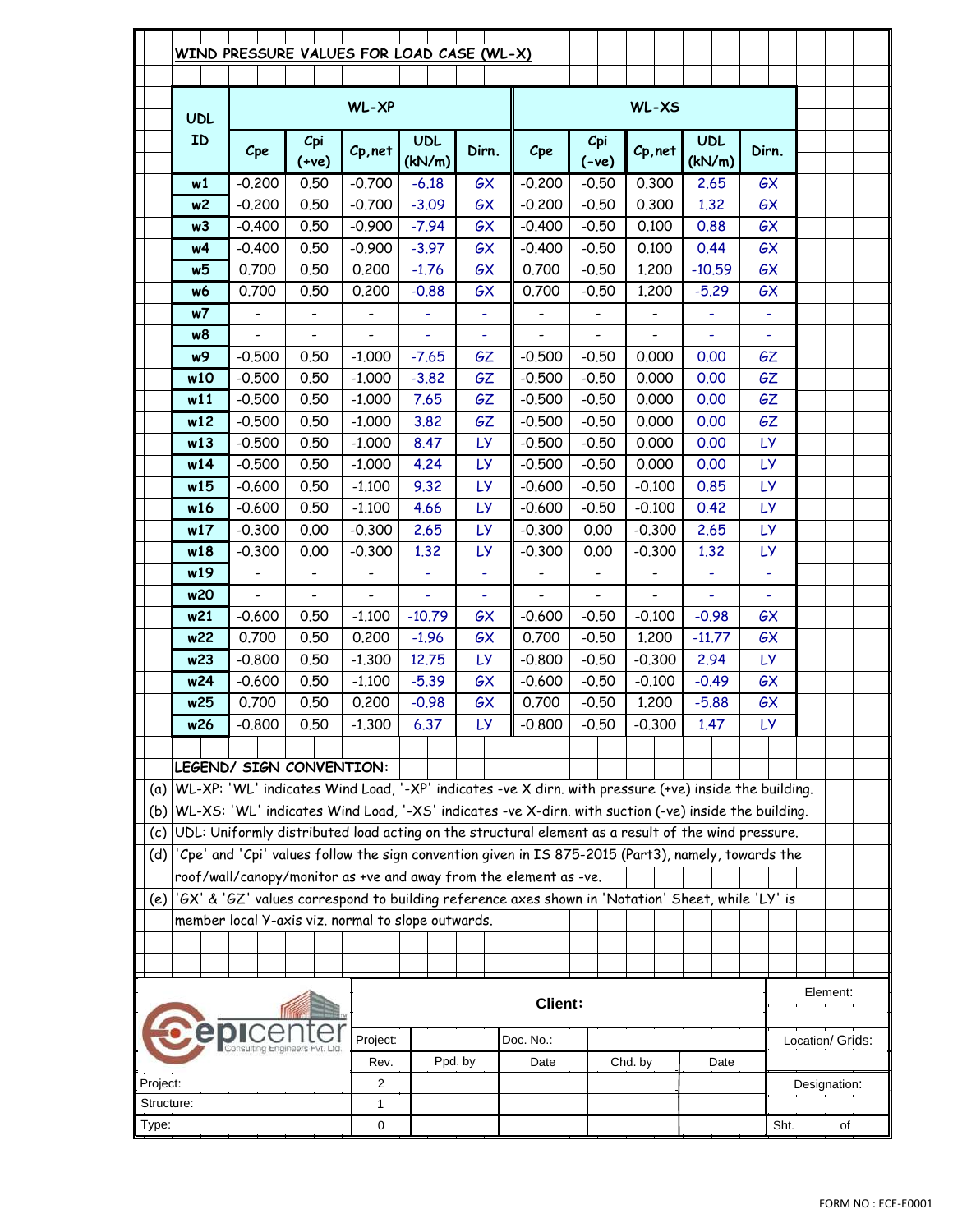|            |                 | WIND PRESSURE VALUES FOR LOAD CASE (WL-X)                                                             |                          |                              |                      |                |  |                              |                              |                              |         |                      |       |                |                  |  |  |  |
|------------|-----------------|-------------------------------------------------------------------------------------------------------|--------------------------|------------------------------|----------------------|----------------|--|------------------------------|------------------------------|------------------------------|---------|----------------------|-------|----------------|------------------|--|--|--|
|            | <b>UDL</b>      |                                                                                                       |                          | WL-XP                        |                      |                |  |                              |                              | WL-XS                        |         |                      |       |                |                  |  |  |  |
|            | ID              | Cpe                                                                                                   | Cpi<br>$(+ve)$           | Cp, net                      | <b>UDL</b><br>(kN/m) | Dirn.          |  | Cpe                          | Cpi<br>$(-ve)$               | Cp, net                      |         | <b>UDL</b><br>(kN/m) | Dirn. |                |                  |  |  |  |
|            | w1              | $-0.200$                                                                                              | 0.50                     | $-0.700$                     | $-6.18$              | GX             |  | $-0.200$                     | $-0.50$                      | 0.300                        |         | 2.65                 |       | GX             |                  |  |  |  |
|            | w2              | $-0.200$                                                                                              | 0.50                     | $-0.700$                     | $-3.09$              | GX             |  | $-0.200$                     | $-0.50$                      | 0.300                        |         | 1.32                 |       | GX             |                  |  |  |  |
|            | w3              | $-0.400$                                                                                              | 0.50                     | $-0.900$                     | $-7.94$              | GX             |  | $-0.400$                     | $-0.50$                      | 0.100                        |         | 0.88                 |       | GX             |                  |  |  |  |
|            | w4              | $-0.400$                                                                                              | 0.50                     | $-0.900$                     | $-3.97$              | GX             |  | $-0.400$                     | $-0.50$                      | 0.100                        |         | 0.44                 |       | GX             |                  |  |  |  |
|            | w5              | 0.700                                                                                                 | 0.50                     | 0.200                        | $-1.76$              | GX             |  | 0.700                        | $-0.50$                      | 1.200                        |         | $-10.59$             |       | GX             |                  |  |  |  |
|            | w6              | 0.700                                                                                                 | 0.50                     | 0.200                        | $-0.88$              | GX             |  | 0.700                        | $-0.50$                      | 1.200                        |         | $-5.29$              |       | GX             |                  |  |  |  |
|            | w7              |                                                                                                       |                          | $\qquad \qquad \blacksquare$ | ÷,                   |                |  |                              |                              |                              |         | ÷                    |       | $\blacksquare$ |                  |  |  |  |
|            | w8              |                                                                                                       |                          |                              | L,                   |                |  |                              |                              |                              |         | L,                   |       |                |                  |  |  |  |
|            | w9              | $-0.500$                                                                                              | 0.50                     | $-1.000$                     | $-7.65$              | GΖ             |  | $-0.500$                     | $-0.50$                      | 0.000                        |         | 0.00                 |       | GΖ             |                  |  |  |  |
|            | w10             | $-0.500$                                                                                              | 0.50                     | $-1.000$                     | $-3.82$              | <b>GZ</b>      |  | $-0.500$                     | $-0.50$                      | 0.000                        |         | 0.00                 |       | <b>GZ</b>      |                  |  |  |  |
|            | w11             | $-0.500$                                                                                              | 0.50                     | $-1,000$                     | 7.65                 | <b>GZ</b>      |  | $-0.500$                     | $-0.50$                      | 0.000                        |         | 0.00                 |       | <b>GZ</b>      |                  |  |  |  |
|            | w12             | $-0.500$                                                                                              | 0.50                     | $-1.000$                     | 3.82                 | GΖ             |  | $-0.500$                     | $-0.50$                      | 0.000                        |         | 0.00                 |       | <b>GZ</b>      |                  |  |  |  |
|            | w13             | $-0.500$                                                                                              | 0.50                     | $-1.000$                     | 8.47                 | <b>LY</b>      |  | $-0.500$                     | $-0.50$                      | 0.000                        |         | 0.00                 |       | LY.            |                  |  |  |  |
|            | w14             | $-0.500$                                                                                              | 0.50                     | $-1.000$                     | 4.24                 | LY.            |  | $-0.500$                     | $-0.50$                      | 0.000                        |         | 0.00                 |       | LY.            |                  |  |  |  |
|            | w15             | $-0.600$                                                                                              | 0.50                     | $-1.100$                     | 9.32                 | <b>LY</b>      |  | $-0.600$                     | $-0.50$                      | $-0.100$                     |         | 0.85                 |       | <b>LY</b>      |                  |  |  |  |
|            | w16             | $-0.600$                                                                                              | 0.50                     | $-1.100$                     | 4.66                 | <b>LY</b>      |  | $-0.600$                     | $-0.50$                      | $-0.100$                     |         | 0.42                 |       | <b>LY</b>      |                  |  |  |  |
|            | w17             | $-0.300$                                                                                              | 0.00                     | $-0.300$                     | 2.65                 | LY.            |  | $-0.300$                     | 0.00                         | $-0.300$                     |         | 2.65                 |       | LY.            |                  |  |  |  |
|            | w18             | $-0.300$                                                                                              | 0.00                     | $-0.300$                     | 1.32                 | <b>LY</b>      |  | $-0.300$                     | 0.00                         | $-0.300$                     | 1.32    |                      |       | <b>LY</b>      |                  |  |  |  |
|            | w19             | $\qquad \qquad -$                                                                                     | $\qquad \qquad -$        | $\qquad \qquad \blacksquare$ | ÷                    | $\blacksquare$ |  | $\qquad \qquad \blacksquare$ | $\qquad \qquad \blacksquare$ | $\qquad \qquad \blacksquare$ | ÷,      |                      |       |                | $\blacksquare$   |  |  |  |
|            | w20             | $\overline{\phantom{0}}$                                                                              | $\overline{\phantom{0}}$ |                              | L,                   |                |  | $\overline{\phantom{0}}$     |                              |                              |         | L,                   |       |                |                  |  |  |  |
|            | w21             | $-0.600$                                                                                              | 0.50                     | $-1.100$                     | $-10.79$             | GX             |  | $-0.600$                     | $-0.50$                      | $-0.100$                     | $-0.98$ |                      | GX    |                |                  |  |  |  |
|            | w22             | 0.700                                                                                                 | 0.50                     | 0.200                        | $-1.96$              | GX             |  | 0.700<br>$-0.50$             |                              | 1.200                        |         | $-11.77$             |       | GX             |                  |  |  |  |
|            | w23             | $-0.800$                                                                                              | 0.50                     | $-1.300$                     | 12.75                | <b>LY</b>      |  | $-0.800$                     | $-0.50$                      | $-0.300$                     |         | 2.94                 |       | LY.            |                  |  |  |  |
|            | w24             | $-0.600$                                                                                              | 0.50                     | $-1.100$                     | $-5.39$              | GX             |  | $-0.600$                     | $-0.50$                      | $-0.100$                     | $-0.49$ |                      |       | GX             |                  |  |  |  |
|            | w25             | 0.700                                                                                                 | 0.50                     | 0.200                        | $-0.98$              | GX             |  | 0.700                        | $-0.50$                      | 1,200                        | $-5.88$ |                      |       | GX             |                  |  |  |  |
|            | w26             | $-0.800$                                                                                              | 0.50                     | $-1.300$                     | 6.37                 | LY             |  | $-0.800$                     | $-0.50$                      | $-0.300$                     |         | 1.47                 |       | <b>LY</b>      |                  |  |  |  |
|            |                 |                                                                                                       |                          |                              |                      |                |  |                              |                              |                              |         |                      |       |                |                  |  |  |  |
|            |                 | LEGEND/ SIGN CONVENTION:                                                                              |                          |                              |                      |                |  |                              |                              |                              |         |                      |       |                |                  |  |  |  |
| (a)        |                 | WL-XP: 'WL' indicates Wind Load, '-XP' indicates -ve X dirn. with pressure (+ve) inside the building. |                          |                              |                      |                |  |                              |                              |                              |         |                      |       |                |                  |  |  |  |
| (b)        |                 | WL-XS: 'WL' indicates Wind Load, '-XS' indicates -ve X-dirn. with suction (-ve) inside the building.  |                          |                              |                      |                |  |                              |                              |                              |         |                      |       |                |                  |  |  |  |
| (c)        |                 | UDL: Uniformly distributed load acting on the structural element as a result of the wind pressure.    |                          |                              |                      |                |  |                              |                              |                              |         |                      |       |                |                  |  |  |  |
| (d)        |                 | 'Cpe' and 'Cpi' values follow the sign convention given in IS 875-2015 (Part3), namely, towards the   |                          |                              |                      |                |  |                              |                              |                              |         |                      |       |                |                  |  |  |  |
|            |                 | roof/wall/canopy/monitor as +ve and away from the element as -ve.                                     |                          |                              |                      |                |  |                              |                              |                              |         |                      |       |                |                  |  |  |  |
| (e)        |                 | 'GX' & 'GZ' values correspond to building reference axes shown in 'Notation' Sheet, while 'LY' is     |                          |                              |                      |                |  |                              |                              |                              |         |                      |       |                |                  |  |  |  |
|            |                 | member local Y-axis viz. normal to slope outwards.                                                    |                          |                              |                      |                |  |                              |                              |                              |         |                      |       |                |                  |  |  |  |
|            |                 |                                                                                                       |                          |                              |                      |                |  |                              |                              |                              |         |                      |       |                |                  |  |  |  |
|            |                 |                                                                                                       |                          |                              |                      |                |  |                              |                              |                              |         |                      |       |                |                  |  |  |  |
|            |                 |                                                                                                       |                          |                              |                      |                |  | <b>Client:</b>               |                              |                              |         |                      |       |                | Element:         |  |  |  |
|            | Project:        |                                                                                                       |                          |                              |                      |                |  | Doc. No.:                    |                              |                              |         |                      |       |                | Location/ Grids: |  |  |  |
|            | Ppd. by<br>Rev. |                                                                                                       |                          |                              |                      |                |  | Date                         |                              | Chd. by                      |         | Date                 |       |                |                  |  |  |  |
|            | 2<br>Project:   |                                                                                                       |                          |                              |                      |                |  |                              |                              |                              |         |                      |       |                | Designation:     |  |  |  |
| Structure: |                 |                                                                                                       |                          | 1                            |                      |                |  |                              |                              |                              |         |                      |       |                |                  |  |  |  |
| Type:      | 0               |                                                                                                       |                          |                              |                      |                |  |                              |                              |                              |         |                      | Sht.  | of             |                  |  |  |  |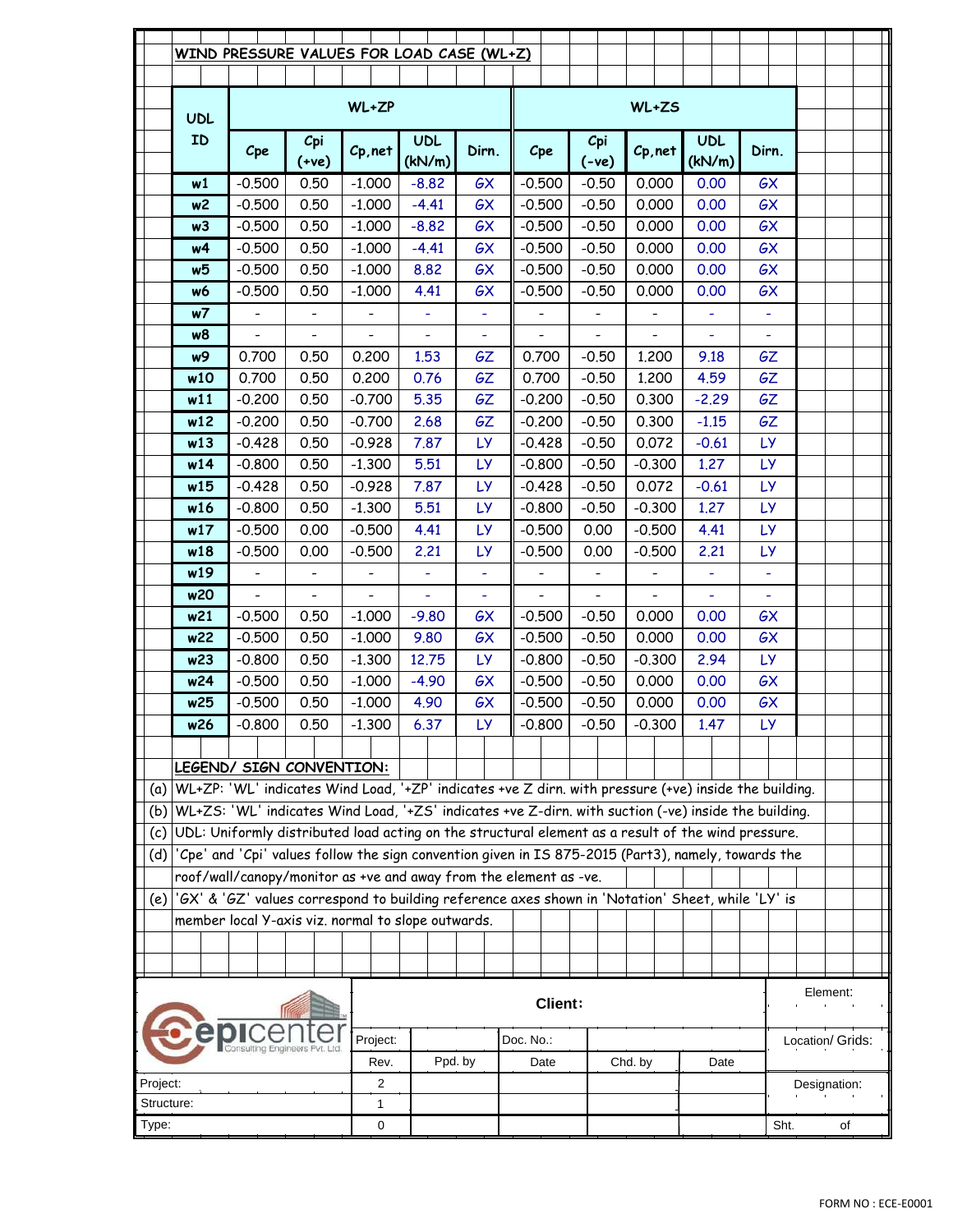|       |                 | WIND PRESSURE VALUES FOR LOAD CASE (WL+Z)                                                             |                          |                              |                      |                |           |                              |                              |                              |      |      |                      |      |                |              |                  |  |  |
|-------|-----------------|-------------------------------------------------------------------------------------------------------|--------------------------|------------------------------|----------------------|----------------|-----------|------------------------------|------------------------------|------------------------------|------|------|----------------------|------|----------------|--------------|------------------|--|--|
|       | <b>UDL</b>      |                                                                                                       |                          | WL+ZP                        |                      |                |           |                              |                              | WL+ZS                        |      |      |                      |      |                |              |                  |  |  |
|       | ID              | Cpe                                                                                                   | Cpi<br>$(+ve)$           | Cp, net                      | <b>UDL</b><br>(kN/m) | Dirn.          |           | Cpe                          | Cpi<br>$(-ve)$               | Cp, net                      |      |      | <b>UDL</b><br>(kN/m) |      | Dirn.          |              |                  |  |  |
|       | w1              | $-0.500$                                                                                              | 0.50                     | $-1.000$                     | $-8.82$              | GX             |           | $-0.500$                     | $-0.50$                      | 0.000                        |      |      | 0.00                 |      | GX             |              |                  |  |  |
|       | w2              | $-0.500$                                                                                              | 0.50                     | $-1.000$                     | $-4.41$              | GX             |           | $-0.500$                     | $-0.50$                      | 0.000                        |      |      | 0.00                 |      | GX             |              |                  |  |  |
|       | w3              | $-0.500$                                                                                              | 0.50                     | $-1,000$                     | $-8.82$              | GX             |           | $-0.500$                     | $-0.50$                      | 0.000                        |      |      | 0.00                 |      | GX             |              |                  |  |  |
|       | w4              | $-0.500$                                                                                              | 0.50                     | $-1.000$                     | $-4.41$              | GX             |           | $-0.500$                     | $-0.50$                      | 0.000                        |      |      | 0.00                 |      | GX             |              |                  |  |  |
|       | w5              | $-0.500$                                                                                              | 0.50                     | $-1.000$                     | 8.82                 | GX             |           | $-0.500$                     | $-0.50$                      | 0.000                        |      |      | 0.00                 |      | GX             |              |                  |  |  |
|       | w6              | $-0.500$                                                                                              | 0.50                     | $-1,000$                     | 4.41                 | GX             |           | $-0.500$                     | $-0.50$                      | 0.000                        |      |      | 0.00                 |      | GX             |              |                  |  |  |
|       | w7              | $\qquad \qquad \blacksquare$                                                                          |                          |                              | ÷,                   | $\blacksquare$ |           |                              |                              |                              |      |      | ÷,                   |      | $\blacksquare$ |              |                  |  |  |
|       | w8              |                                                                                                       |                          |                              | L,                   |                |           |                              |                              |                              |      |      | L,                   |      |                |              |                  |  |  |
|       | w9              | 0.700                                                                                                 | 0.50                     | 0.200                        | 1.53                 | GΖ             |           | 0.700                        | $-0.50$                      | 1.200                        |      |      | 9.18                 |      | GΖ             |              |                  |  |  |
|       | w10             | 0.700                                                                                                 | 0.50                     | 0.200                        | 0.76                 | <b>GZ</b>      |           | 0.700                        | $-0.50$                      | 1,200                        |      |      | 4.59                 |      | <b>GZ</b>      |              |                  |  |  |
|       | w11             | $-0.200$                                                                                              | 0.50                     | $-0.700$                     | 5.35                 | GΖ             |           | $-0.200$                     | $-0.50$                      | 0.300                        |      |      | $-2.29$              |      | <b>GZ</b>      |              |                  |  |  |
|       | w12             | $-0.200$                                                                                              | 0.50                     | $-0.700$                     | 2.68                 | GΖ             |           | $-0.200$                     | $-0.50$                      | 0.300                        |      |      | $-1.15$              |      | <b>GZ</b>      |              |                  |  |  |
|       | w13             | $-0.428$                                                                                              | 0.50                     | $-0.928$                     | 7.87                 | <b>LY</b>      |           | $-0.428$                     | $-0.50$                      | 0.072                        |      |      | $-0.61$              |      | LY.            |              |                  |  |  |
|       | w14             | $-0.800$                                                                                              | 0.50                     | $-1.300$                     | 5.51                 | LY.            |           | $-0.800$                     | $-0.50$                      | $-0.300$                     |      |      | 1.27                 |      | LY.            |              |                  |  |  |
|       | w15             | $-0.428$                                                                                              | 0.50                     | $-0.928$                     | 7.87                 | <b>LY</b>      |           | $-0.428$                     | $-0.50$                      | 0.072                        |      |      | $-0.61$              |      | <b>LY</b>      |              |                  |  |  |
|       | w16             | $-0.800$                                                                                              | 0.50                     | $-1.300$                     | 5.51                 | <b>LY</b>      |           | $-0.800$                     | $-0.50$                      | $-0.300$                     |      |      | 1.27                 |      | <b>LY</b>      |              |                  |  |  |
|       | w17             | $-0.500$                                                                                              | 0.00                     | $-0.500$                     | 4.41                 | LY.            |           | $-0.500$                     | 0.00                         | $-0.500$                     |      | 4.41 |                      |      | LY.            |              |                  |  |  |
|       | w18             | $-0.500$                                                                                              | 0.00                     | $-0.500$                     | 2.21                 | <b>LY</b>      |           | $-0.500$                     | 0.00                         | $-0.500$                     |      | 2.21 |                      |      | <b>LY</b>      |              |                  |  |  |
|       | w19             | $\qquad \qquad -$                                                                                     | $\qquad \qquad -$        | $\qquad \qquad \blacksquare$ | ÷,                   | $\blacksquare$ |           | $\qquad \qquad \blacksquare$ | $\qquad \qquad \blacksquare$ | $\qquad \qquad \blacksquare$ |      | ÷,   |                      |      | $\blacksquare$ |              |                  |  |  |
|       | w20             | $\overline{\phantom{0}}$                                                                              | $\overline{\phantom{0}}$ |                              | L,                   |                |           | $\overline{\phantom{0}}$     |                              |                              |      |      | L,                   |      |                |              |                  |  |  |
|       | w21             | $-0.500$                                                                                              | 0.50                     | $-1.000$                     | $-9.80$              | GX             |           | $-0.500$                     | $-0.50$                      | 0.000                        |      | 0.00 |                      | GX   |                |              |                  |  |  |
|       | w22             | $-0.500$                                                                                              | 0.50                     | $-1,000$                     | 9.80                 | GX             |           | $-0.500$                     | $-0.50$                      | 0.000                        |      |      | 0.00                 | GX   |                |              |                  |  |  |
|       | w23             | $-0.800$                                                                                              | 0.50                     | $-1.300$                     | 12.75                | <b>LY</b>      |           | $-0.800$                     | $-0.50$                      | $-0.300$                     |      | 2.94 |                      |      | <b>LY</b>      |              |                  |  |  |
|       | w24             | $-0.500$                                                                                              | 0.50                     | $-1.000$                     | $-4.90$              | GX             |           | $-0.500$                     | $-0.50$                      | 0.000                        | 0.00 |      | GX                   |      |                |              |                  |  |  |
|       | w25             | $-0.500$                                                                                              | 0.50                     | $-1,000$                     | 4.90                 | GX             |           | $-0.500$                     | $-0.50$                      | 0.000                        |      |      | 0.00                 |      | GX             |              |                  |  |  |
|       | w26             | $-0.800$                                                                                              | 0.50                     | $-1.300$                     | 6.37                 | LY             |           | $-0.800$                     | $-0.50$                      | $-0.300$                     |      |      | 1.47                 |      | <b>LY</b>      |              |                  |  |  |
|       |                 |                                                                                                       |                          |                              |                      |                |           |                              |                              |                              |      |      |                      |      |                |              |                  |  |  |
|       |                 | LEGEND/ SIGN CONVENTION:                                                                              |                          |                              |                      |                |           |                              |                              |                              |      |      |                      |      |                |              |                  |  |  |
| (a)   |                 | WL+ZP: 'WL' indicates Wind Load, '+ZP' indicates +ve Z dirn. with pressure (+ve) inside the building. |                          |                              |                      |                |           |                              |                              |                              |      |      |                      |      |                |              |                  |  |  |
| (b)   |                 | WL+ZS: 'WL' indicates Wind Load, '+ZS' indicates +ve Z-dirn. with suction (-ve) inside the building.  |                          |                              |                      |                |           |                              |                              |                              |      |      |                      |      |                |              |                  |  |  |
| (c)   |                 | UDL: Uniformly distributed load acting on the structural element as a result of the wind pressure.    |                          |                              |                      |                |           |                              |                              |                              |      |      |                      |      |                |              |                  |  |  |
| (d)   |                 | 'Cpe' and 'Cpi' values follow the sign convention given in IS 875-2015 (Part3), namely, towards the   |                          |                              |                      |                |           |                              |                              |                              |      |      |                      |      |                |              |                  |  |  |
|       |                 | roof/wall/canopy/monitor as +ve and away from the element as -ve.                                     |                          |                              |                      |                |           |                              |                              |                              |      |      |                      |      |                |              |                  |  |  |
| (e)   |                 | 'GX' & 'GZ' values correspond to building reference axes shown in 'Notation' Sheet, while 'LY' is     |                          |                              |                      |                |           |                              |                              |                              |      |      |                      |      |                |              |                  |  |  |
|       |                 | member local Y-axis viz. normal to slope outwards.                                                    |                          |                              |                      |                |           |                              |                              |                              |      |      |                      |      |                |              |                  |  |  |
|       |                 |                                                                                                       |                          |                              |                      |                |           |                              |                              |                              |      |      |                      |      |                |              |                  |  |  |
|       |                 |                                                                                                       |                          |                              |                      |                |           |                              |                              |                              |      |      |                      |      |                |              |                  |  |  |
|       |                 |                                                                                                       |                          |                              |                      |                |           | <b>Client:</b>               |                              |                              |      |      |                      |      |                |              | Element:         |  |  |
|       | Project:        |                                                                                                       |                          |                              |                      |                | Doc. No.: |                              |                              |                              |      |      |                      |      |                |              | Location/ Grids: |  |  |
|       | Ppd. by<br>Rev. |                                                                                                       |                          |                              |                      |                |           | Date                         |                              | Chd. by                      |      |      | Date                 |      |                |              |                  |  |  |
|       | 2<br>Project:   |                                                                                                       |                          |                              |                      |                |           |                              |                              |                              |      |      |                      |      |                | Designation: |                  |  |  |
|       | Structure:<br>1 |                                                                                                       |                          |                              |                      |                |           |                              |                              |                              |      |      |                      |      |                |              |                  |  |  |
| Type: | 0               |                                                                                                       |                          |                              |                      |                |           |                              |                              |                              |      |      |                      | Sht. |                | of           |                  |  |  |